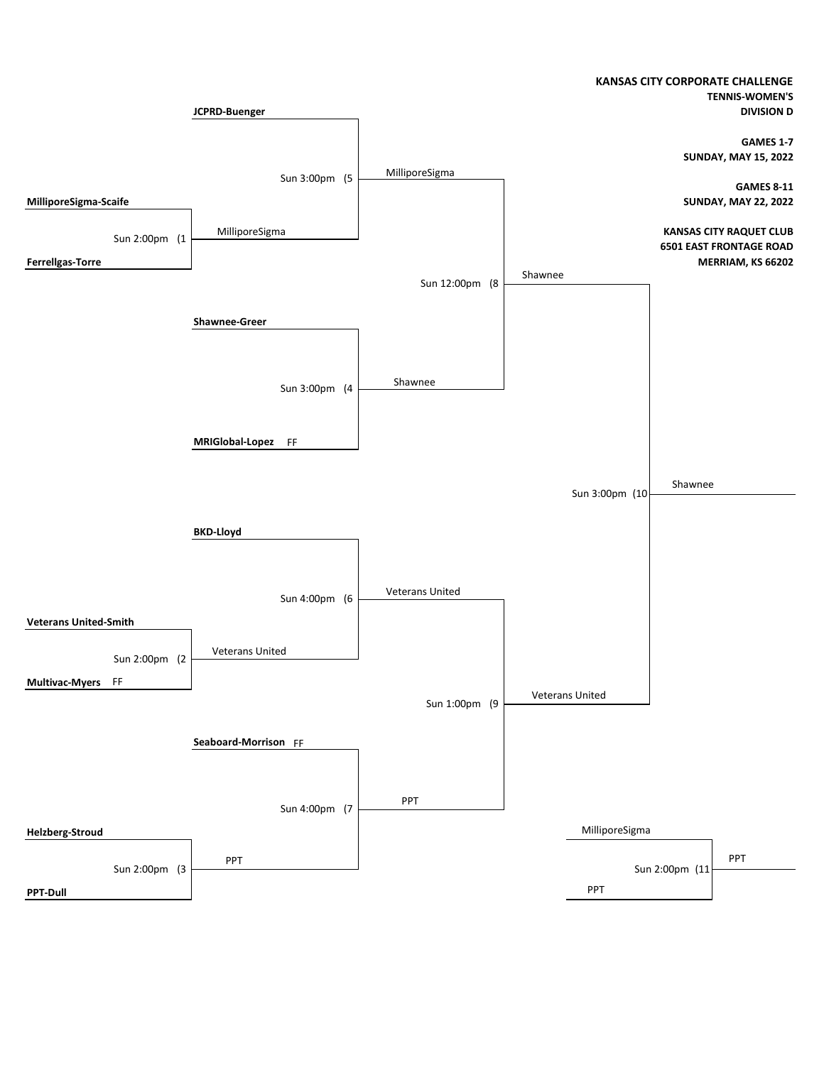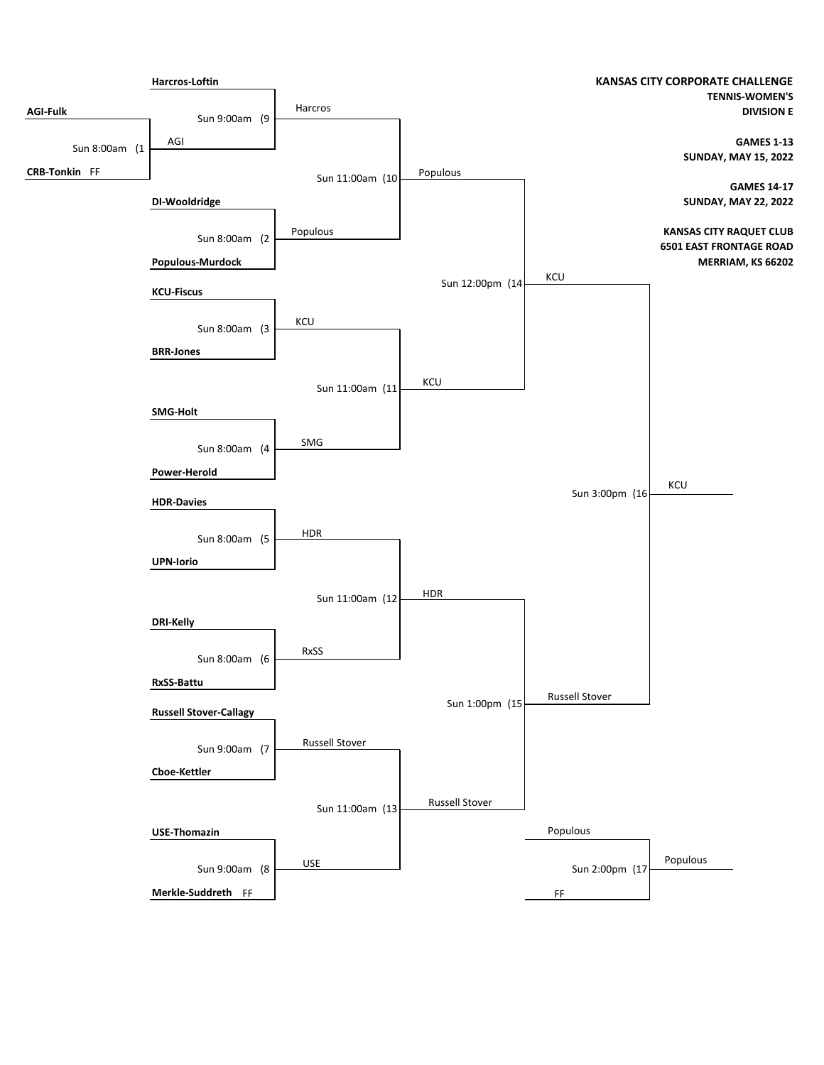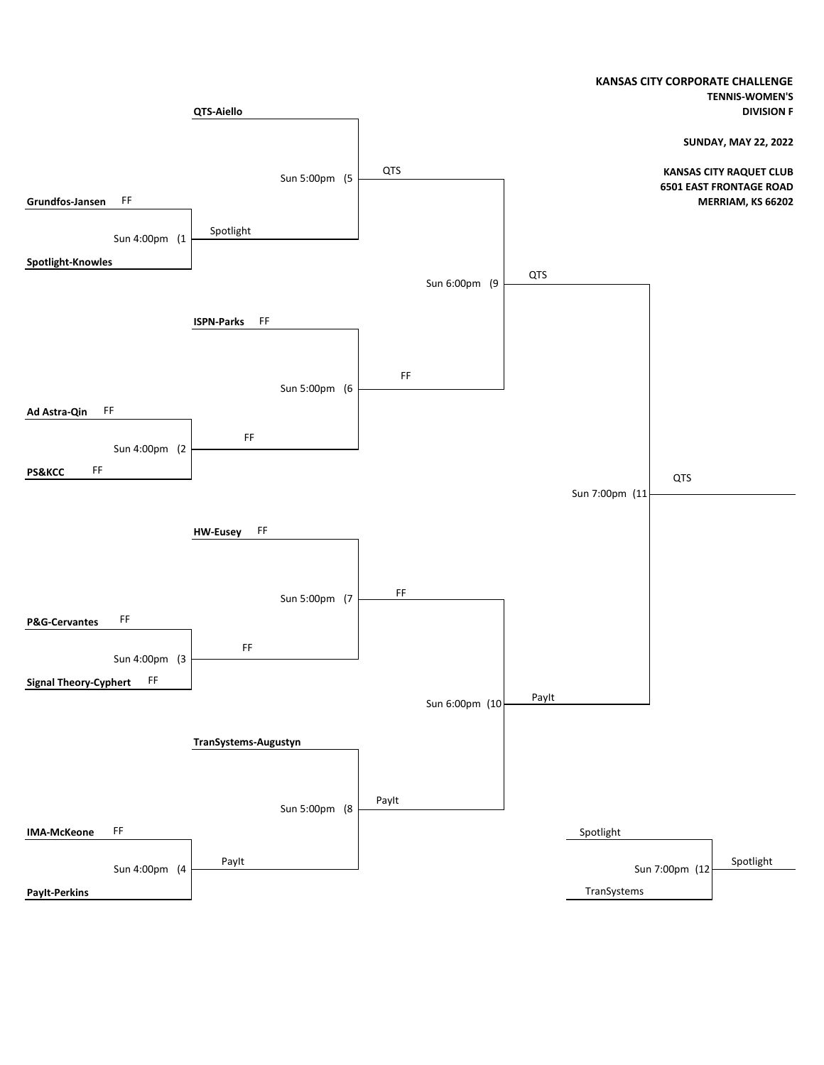